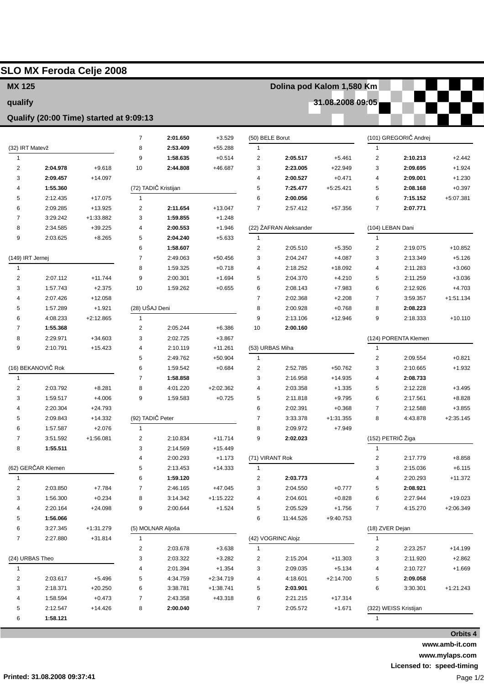| <b>MX 125</b>       |                                         |                       |                         |                      |                      |                         | Dolina pod Kalom 1,580 Km |                      |                   |                       |                      |  |
|---------------------|-----------------------------------------|-----------------------|-------------------------|----------------------|----------------------|-------------------------|---------------------------|----------------------|-------------------|-----------------------|----------------------|--|
| qualify             |                                         |                       |                         |                      |                      | 31.08.2008 09:05        |                           |                      |                   |                       |                      |  |
|                     | Qualify (20:00 Time) started at 9:09:13 |                       |                         |                      |                      |                         |                           |                      |                   |                       |                      |  |
|                     |                                         |                       | $\overline{7}$          | 2:01.650             | $+3.529$             | (50) BELE Borut         |                           |                      |                   | (101) GREGORIČ Andrej |                      |  |
| (32) IRT Matevž     |                                         |                       | 8                       | 2:53.409             | $+55.288$            | $\mathbf{1}$            |                           |                      | 1                 |                       |                      |  |
| $\mathbf{1}$        |                                         |                       | 9                       | 1:58.635             | $+0.514$             | 2                       | 2:05.517                  | $+5.461$             | 2                 | 2:10.213              | $+2.442$             |  |
| $\overline{2}$      | 2:04.978                                | $+9.618$              | 10                      | 2:44.808             | +46.687              | 3                       | 2:23.005                  | $+22.949$            | 3                 | 2:09.695              | $+1.924$             |  |
| 3                   | 2:09.457                                | $+14.097$             |                         |                      |                      | 4                       | 2:00.527                  | $+0.471$             | 4                 | 2:09.001              | $+1.230$             |  |
| 4                   | 1:55.360                                |                       |                         | (72) TADIČ Kristijan |                      | 5                       | 7:25.477                  | $+5:25.421$          | 5                 | 2:08.168              | $+0.397$             |  |
| 5                   | 2:12.435                                | $+17.075$             | 1                       |                      |                      | 6                       | 2:00.056                  |                      | 6                 | 7:15.152              | $+5:07.381$          |  |
| 6                   | 2:09.285                                | +13.925               | $\overline{\mathbf{c}}$ | 2:11.654             | $+13.047$            | $\overline{7}$          | 2:57.412                  | +57.356              | $\overline{7}$    | 2:07.771              |                      |  |
| $\overline{7}$      | 3:29.242                                | +1:33.882             | 3                       | 1:59.855             | $+1.248$             |                         |                           |                      |                   |                       |                      |  |
| 8                   | 2:34.585                                | $+39.225$             | 4                       | 2:00.553             | $+1.946$             |                         | (22) ŽAFRAN Aleksander    |                      | (104) LEBAN Dani  |                       |                      |  |
| 9                   | 2:03.625                                | $+8.265$              | 5                       | 2:04.240             | $+5.633$             | $\mathbf{1}$            |                           |                      | $\mathbf{1}$      |                       |                      |  |
|                     |                                         |                       | 6                       | 1:58.607             |                      | $\overline{c}$          | 2:05.510                  | $+5.350$             | 2                 | 2:19.075              | $+10.852$            |  |
| (149) IRT Jernej    |                                         |                       | $\overline{7}$          | 2:49.063             | $+50.456$            | 3                       | 2:04.247                  | $+4.087$             | 3                 | 2:13.349              | $+5.126$             |  |
| $\mathbf{1}$        |                                         |                       | 8                       | 1:59.325             | $+0.718$             | 4                       | 2:18.252                  | $+18.092$            | 4                 | 2:11.283              | $+3.060$             |  |
| $\overline{2}$<br>3 | 2:07.112<br>1:57.743                    | $+11.744$<br>$+2.375$ | 9<br>10                 | 2:00.301<br>1:59.262 | $+1.694$<br>$+0.655$ | 5<br>6                  | 2:04.370<br>2:08.143      | $+4.210$<br>$+7.983$ | 5<br>6            | 2:11.259<br>2:12.926  | $+3.036$<br>$+4.703$ |  |
| 4                   | 2:07.426                                | $+12.058$             |                         |                      |                      | $\overline{7}$          | 2:02.368                  | $+2.208$             | 7                 | 3:59.357              | $+1:51.134$          |  |
| 5                   | 1:57.289                                | $+1.921$              | (28) UŠAJ Deni          |                      |                      | 8                       | 2:00.928                  | $+0.768$             | 8                 | 2:08.223              |                      |  |
| 6                   | 4:08.233                                | $+2:12.865$           | $\mathbf{1}$            |                      |                      | 9                       | 2:13.106                  | $+12.946$            | 9                 | 2:18.333              | $+10.110$            |  |
| 7                   | 1:55.368                                |                       | $\overline{\mathbf{c}}$ | 2:05.244             | $+6.386$             | 10                      | 2:00.160                  |                      |                   |                       |                      |  |
| 8                   | 2:29.971                                | $+34.603$             | 3                       | 2:02.725             | $+3.867$             |                         |                           |                      |                   | (124) PORENTA Klemen  |                      |  |
| 9                   | 2:10.791                                | $+15.423$             | 4                       | 2:10.119             | $+11.261$            | (53) URBAS Miha         |                           |                      | $\mathbf{1}$      |                       |                      |  |
|                     |                                         |                       | 5                       | 2:49.762             | $+50.904$            | $\mathbf{1}$            |                           |                      | 2                 | 2:09.554              | $+0.821$             |  |
|                     | (16) BEKANOVIČ Rok                      |                       | 6                       | 1:59.542             | $+0.684$             | 2                       | 2:52.785                  | +50.762              | 3                 | 2:10.665              | $+1.932$             |  |
| $\overline{1}$      |                                         |                       | $\overline{7}$          | 1:58.858             |                      | 3                       | 2:16.958                  | $+14.935$            | 4                 | 2:08.733              |                      |  |
| $\overline{2}$      | 2:03.792                                | $+8.281$              | 8                       | 4:01.220             | $+2:02.362$          | 4                       | 2:03.358                  | $+1.335$             | 5                 | 2:12.228              | $+3.495$             |  |
| 3                   | 1:59.517                                | $+4.006$              | 9                       | 1:59.583             | $+0.725$             | 5                       | 2:11.818                  | $+9.795$             | 6                 | 2:17.561              | $+8.828$             |  |
| 4                   | 2:20.304                                | $+24.793$             |                         |                      |                      | 6                       | 2:02.391                  | $+0.368$             | 7                 | 2:12.588              | $+3.855$             |  |
| 5                   | 2:09.843                                | $+14.332$             | (92) TADIČ Peter        |                      |                      | 7                       | 3:33.378                  | $+1:31.355$          | 8                 | 4:43.878              | $+2:35.145$          |  |
| 6                   | 1:57.587                                | +2.076                |                         |                      |                      | 8                       | 2:09.972                  | +7.949               |                   |                       |                      |  |
| $\overline{7}$      | 3:51.592                                | $+1:56.081$           | $\overline{c}$          | 2:10.834             | $+11.714$            | 9                       | 2:02.023                  |                      | (152) PETRIČ Žiga |                       |                      |  |
| 8                   | 1:55.511                                |                       | 3                       | 2:14.569             | $+15.449$            |                         |                           |                      | $\mathbf{1}$      |                       |                      |  |
|                     |                                         |                       | 4                       | 2:00.293             | $+1.173$             | (71) VIRANT Rok         |                           |                      | 2                 | 2:17.779              | $+8.858$             |  |
| (62) GERČAR Klemen  |                                         |                       | 5                       | 2:13.453             | $+14.333$            | $\mathbf{1}$            |                           |                      | 3                 | 2:15.036              | $+6.115$             |  |
| $\mathbf{1}$        |                                         |                       | 6                       | 1:59.120             |                      | $\overline{\mathbf{c}}$ | 2:03.773                  |                      | 4                 | 2:20.293              | $+11.372$            |  |
| $\overline{2}$      | 2:03.850                                | $+7.784$              | $\overline{7}$          | 2:46.165             | +47.045              | 3                       | 2:04.550                  | $+0.777$             | 5                 | 2:08.921              |                      |  |
| 3                   | 1:56.300                                | $+0.234$              | 8                       | 3:14.342             | $+1:15.222$          | 4                       | 2:04.601                  | $+0.828$             | 6                 | 2:27.944              | $+19.023$            |  |
| 4                   | 2:20.164                                | $+24.098$             | 9                       | 2:00.644             | $+1.524$             | 5                       | 2:05.529                  | $+1.756$             | 7                 | 4:15.270              | $+2:06.349$          |  |
| 5                   | 1:56.066                                |                       |                         |                      |                      | 6                       | 11:44.526                 | $+9:40.753$          |                   |                       |                      |  |
| 6                   | 3:27.345                                | $+1:31.279$           |                         | (5) MOLNAR Aljoša    |                      |                         |                           | (18) ZVER Dejan      |                   |                       |                      |  |
| $\overline{7}$      | 2:27.880                                | $+31.814$             | $\mathbf{1}$            |                      |                      |                         | (42) VOGRINC Alojz        |                      | 1                 |                       |                      |  |
|                     |                                         |                       | $\overline{\mathbf{c}}$ | 2:03.678             | $+3.638$             | $\mathbf{1}$            |                           |                      | 2                 | 2:23.257              | $+14.199$            |  |
| (24) URBAS Theo     |                                         |                       | 3                       | 2:03.322             | $+3.282$             | 2                       | 2:15.204                  | $+11.303$            | 3                 | 2:11.920              | $+2.862$             |  |
| $\mathbf{1}$        |                                         |                       | 4                       | 2:01.394             | $+1.354$             | 3                       | 2:09.035                  | $+5.134$             | 4                 | 2:10.727              | $+1.669$             |  |
| $\sqrt{2}$          | 2:03.617                                | $+5.496$              | 5                       | 4:34.759             | $+2:34.719$          | 4                       | 4:18.601                  | $+2:14.700$          | 5                 | 2:09.058              |                      |  |
| 3                   | 2:18.371                                | $+20.250$             | 6                       | 3:38.781             | $+1:38.741$          | 5                       | 2:03.901                  |                      | 6                 | 3:30.301              | $+1:21.243$          |  |
| 4                   | 1:58.594                                | $+0.473$              | $\overline{7}$          | 2:43.358             | +43.318              | 6                       | 2:21.215                  | $+17.314$            |                   |                       |                      |  |
| 5                   | 2:12.547                                | $+14.426$             | 8                       | 2:00.040             |                      | $\overline{7}$          | 2:05.572                  | $+1.671$             |                   | (322) WEISS Kristijan |                      |  |
| 6                   | 1:58.121                                |                       |                         |                      |                      |                         |                           |                      | 1                 |                       |                      |  |

**www.amb-it.com www.mylaps.com**

**Licensed to: speed-timing**